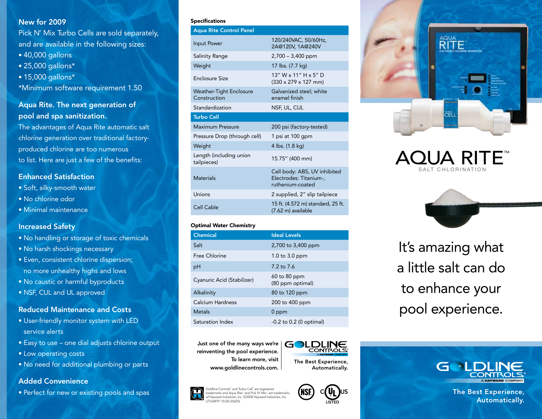### New for 2009

Pick N' Mix Turbo Cells are sold separately, and are available in the following sizes:

- 40,000 gallons
- 25,000 gallons\*
- 15,000 gallons\*
- \*Minimum software requirement 1.50

## Aqua Rite. The next generation of pool and spa sanitization.

The advantages of Aqua Rite automatic salt chlorine generation over traditional factoryproduced chlorine are too numerous to list. Here are just a few of the benefits:

## Enhanced Satisfaction

- Soft, silky-smooth water
- No chlorine odor
- Minimal maintenance

## Increased Safety

- No handling or storage of toxic chemicals
- No harsh shockings necessary
- Even, consistent chlorine dispersion; no more unhealthy highs and lows
- No caustic or harmful byproducts
- NSF, CUL and UL approved

## Reduced Maintenance and Costs

- User-friendly monitor system with LED service alerts
- Easy to use one dial adjusts chlorine output
- Low operating costs
- No need for additional plumbing or parts

## Added Convenience

• Perfect for new or existing pools and spas

#### Specifications

| <b>Aqua Rite Control Panel</b>                 |                                                                            |
|------------------------------------------------|----------------------------------------------------------------------------|
| Input Power                                    | 120/240VAC, 50/60Hz,<br>2A@120V, 1A@240V                                   |
| Salinity Range                                 | $2,700 - 3,400$ ppm                                                        |
| Weight                                         | 17 lbs. (7.7 kg)                                                           |
| <b>Enclosure Size</b>                          | 13" W x 11" H x 5" D<br>$(330 \times 279 \times 127$ mm)                   |
| <b>Weather-Tight Enclosure</b><br>Construction | Galvanized steel; white<br>enamel finish                                   |
| Standardization                                | NSF, UL, CUL                                                               |
| <b>Turbo Cell</b>                              |                                                                            |
| <b>Maximum Pressure</b>                        |                                                                            |
|                                                | 200 psi (factory-tested)                                                   |
| Pressure Drop (through cell)                   | 1 psi at 100 gpm                                                           |
| Weight                                         | 4 lbs. (1.8 kg)                                                            |
| Length (including union<br>tailpieces)         | 15.75" (400 mm)                                                            |
| <b>Materials</b>                               | Cell body: ABS, UV inhibited<br>Electrodes: Titanium-,<br>ruthenium-coated |
| Unions                                         | 2 supplied, 2" slip tailpiece                                              |

#### Optimal Water Chemistry

| <b>Chemical</b>            | <b>Ideal Levels</b>              |
|----------------------------|----------------------------------|
| Salt                       | 2,700 to 3,400 ppm               |
| Free Chlorine              | 1.0 to $3.0$ ppm                 |
| рH                         | $7.2 \text{ to } 7.6$            |
| Cyanuric Acid (Stabilizer) | 60 to 80 ppm<br>(80 ppm optimal) |
| Alkalinity                 | 80 to 120 ppm                    |
| Calcium Hardness           | 200 to 400 ppm                   |
| <b>Metals</b>              | $0$ ppm                          |
| Saturation Index           | $-0.2$ to 0.2 (0 optimal)        |

Just one of the many ways we're reinventing the pool experience. To learn more, visit www.goldlinecontrols.com.



The Best Experience, Automatically.









It's amazing what a little salt can do to enhance your pool experience.



The Best Experience, Automatically.